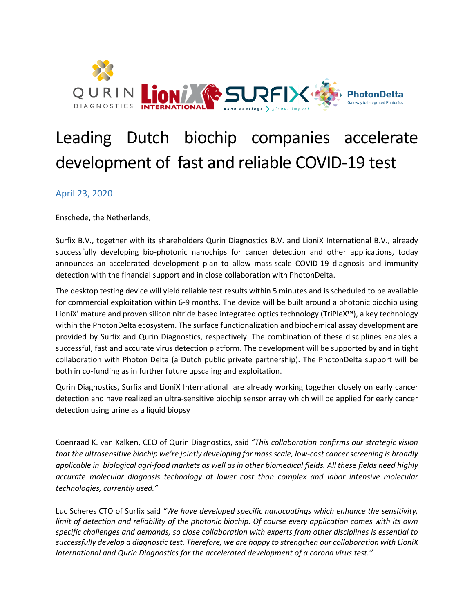

# Leading Dutch biochip companies accelerate development of fast and reliable COVID-19 test

## April 23, 2020

Enschede, the Netherlands,

Surfix B.V., together with its shareholders Qurin Diagnostics B.V. and LioniX International B.V., already successfully developing bio-photonic nanochips for cancer detection and other applications, today announces an accelerated development plan to allow mass-scale COVID-19 diagnosis and immunity detection with the financial support and in close collaboration with PhotonDelta.

The desktop testing device will yield reliable test results within 5 minutes and is scheduled to be available for commercial exploitation within 6-9 months. The device will be built around a photonic biochip using LioniX' mature and proven silicon nitride based integrated optics technology (TriPleX™), a key technology within the PhotonDelta ecosystem. The surface functionalization and biochemical assay development are provided by Surfix and Qurin Diagnostics, respectively. The combination of these disciplines enables a successful, fast and accurate virus detection platform. The development will be supported by and in tight collaboration with Photon Delta (a Dutch public private partnership). The PhotonDelta support will be both in co-funding as in further future upscaling and exploitation.

Qurin Diagnostics, Surfix and LioniX International are already working together closely on early cancer detection and have realized an ultra-sensitive biochip sensor array which will be applied for early cancer detection using urine as a liquid biopsy

Coenraad K. van Kalken, CEO of Qurin Diagnostics, said *"This collaboration confirms our strategic vision that the ultrasensitive biochip we're jointly developing for mass scale, low-cost cancer screening is broadly applicable in biological agri-food markets as well as in other biomedical fields. All these fields need highly accurate molecular diagnosis technology at lower cost than complex and labor intensive molecular technologies, currently used."*

Luc Scheres CTO of Surfix said *"We have developed specific nanocoatings which enhance the sensitivity, limit of detection and reliability of the photonic biochip. Of course every application comes with its own specific challenges and demands, so close collaboration with experts from other disciplines is essential to successfully develop a diagnostic test. Therefore, we are happy to strengthen our collaboration with LioniX International and Qurin Diagnostics for the accelerated development of a corona virus test."*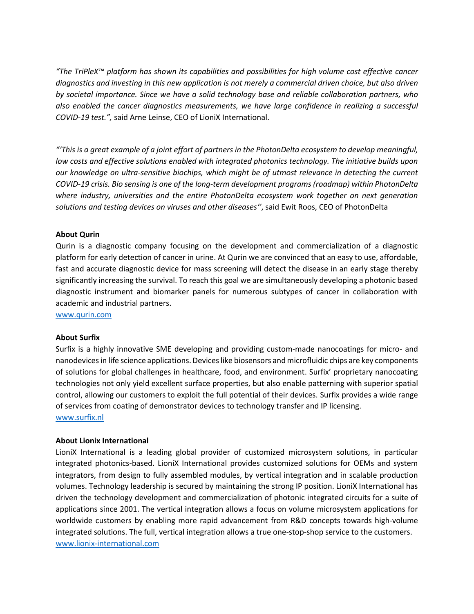*"The TriPleX™ platform has shown its capabilities and possibilities for high volume cost effective cancer diagnostics and investing in this new application is not merely a commercial driven choice, but also driven by societal importance. Since we have a solid technology base and reliable collaboration partners, who also enabled the cancer diagnostics measurements, we have large confidence in realizing a successful COVID-19 test.",* said Arne Leinse, CEO of LioniX International.

*"'This is a great example of a joint effort of partners in the PhotonDelta ecosystem to develop meaningful, low costs and effective solutions enabled with integrated photonics technology. The initiative builds upon our knowledge on ultra-sensitive biochips, which might be of utmost relevance in detecting the current COVID-19 crisis. Bio sensing is one of the long-term development programs (roadmap) within PhotonDelta where industry, universities and the entire PhotonDelta ecosystem work together on next generation solutions and testing devices on viruses and other diseases''*, said Ewit Roos, CEO of PhotonDelta

### **About Qurin**

Qurin is a diagnostic company focusing on the development and commercialization of a diagnostic platform for early detection of cancer in urine. At Qurin we are convinced that an easy to use, affordable, fast and accurate diagnostic device for mass screening will detect the disease in an early stage thereby significantly increasing the survival. To reach this goal we are simultaneously developing a photonic based diagnostic instrument and biomarker panels for numerous subtypes of cancer in collaboration with academic and industrial partners.

[www.qurin.com](http://www.qurin.com/)

#### **About Surfix**

Surfix is a highly innovative SME developing and providing custom-made nanocoatings for micro- and nanodevices in life science applications. Devices like biosensors and microfluidic chips are key components of solutions for global challenges in healthcare, food, and environment. Surfix' proprietary nanocoating technologies not only yield excellent surface properties, but also enable patterning with superior spatial control, allowing our customers to exploit the full potential of their devices. Surfix provides a wide range of services from coating of demonstrator devices to technology transfer and IP licensing. [www.surfix.nl](http://www.surfix.nl/)

#### **About Lionix International**

LioniX International is a leading global provider of customized microsystem solutions, in particular integrated photonics-based. LioniX International provides customized solutions for OEMs and system integrators, from design to fully assembled modules, by vertical integration and in scalable production volumes. Technology leadership is secured by maintaining the strong IP position. LioniX International has driven the technology development and commercialization of photonic integrated circuits for a suite of applications since 2001. The vertical integration allows a focus on volume microsystem applications for worldwide customers by enabling more rapid advancement from R&D concepts towards high-volume integrated solutions. The full, vertical integration allows a true one-stop-shop service to the customers. [www.lionix-international.com](http://www.lionix-international.com/)